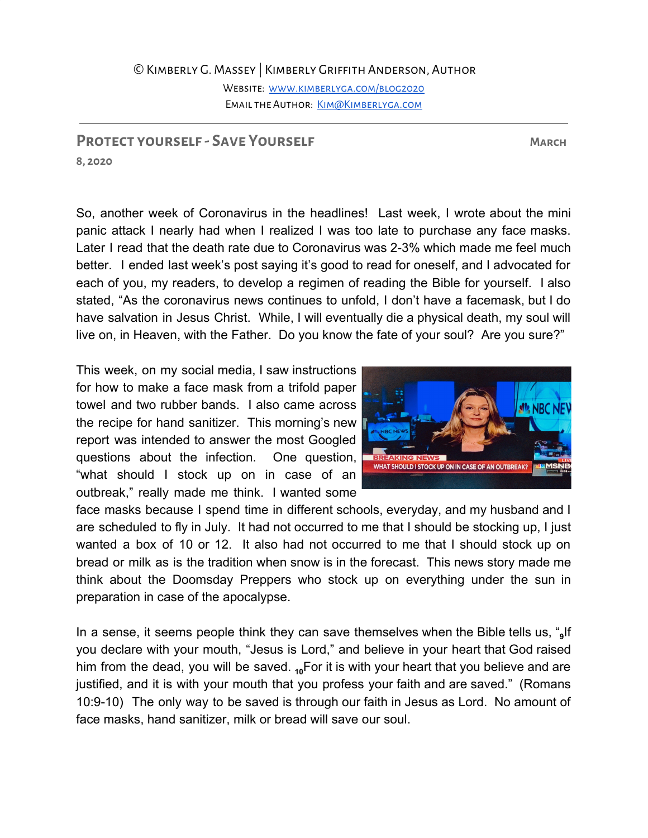WEBSITE: WWW.KIMBERLYGA.COM/BLOG2020 EMAIL THE AUTHOR: KIM@KIMBERLYGA.COM

## **Protect yourself - Save Yourself March**

**8, 2020**

So, another week of Coronavirus in the headlines! Last week, I wrote about the mini panic attack I nearly had when I realized I was too late to purchase any face masks. Later I read that the death rate due to Coronavirus was 2-3% which made me feel much better. I ended last week's post saying it's good to read for oneself, and I advocated for each of you, my readers, to develop a regimen of reading the Bible for yourself. I also stated, "As the coronavirus news continues to unfold, I don't have a facemask, but I do have salvation in Jesus Christ. While, I will eventually die a physical death, my soul will live on, in Heaven, with the Father. Do you know the fate of your soul? Are you sure?"

This week, on my social media, I saw instructions for how to make a face mask from a trifold paper towel and two rubber bands. I also came across the recipe for hand sanitizer. This morning's new report was intended to answer the most Googled questions about the infection. One question, "what should I stock up on in case of an outbreak," really made me think. I wanted some



face masks because I spend time in different schools, everyday, and my husband and I are scheduled to fly in July. It had not occurred to me that I should be stocking up, I just wanted a box of 10 or 12. It also had not occurred to me that I should stock up on bread or milk as is the tradition when snow is in the forecast. This news story made me think about the Doomsday Preppers who stock up on everything under the sun in preparation in case of the apocalypse.

In a sense, it seems people think they can save themselves when the Bible tells us, "**<sup>9</sup>** If you declare with your mouth, "Jesus is Lord," and believe in your heart that God raised him from the dead, you will be saved. <sub>10</sub>For it is with your heart that you believe and are justified, and it is with your mouth that you profess your faith and are saved." (Romans 10:9-10) The only way to be saved is through our faith in Jesus as Lord. No amount of face masks, hand sanitizer, milk or bread will save our soul.